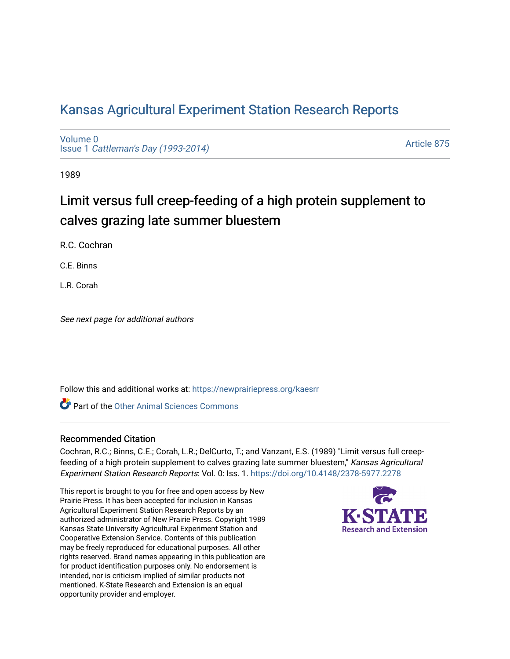# [Kansas Agricultural Experiment Station Research Reports](https://newprairiepress.org/kaesrr)

[Volume 0](https://newprairiepress.org/kaesrr/vol0) Issue 1 [Cattleman's Day \(1993-2014\)](https://newprairiepress.org/kaesrr/vol0/iss1) 

[Article 875](https://newprairiepress.org/kaesrr/vol0/iss1/875) 

1989

# Limit versus full creep-feeding of a high protein supplement to calves grazing late summer bluestem

R.C. Cochran

C.E. Binns

L.R. Corah

See next page for additional authors

Follow this and additional works at: [https://newprairiepress.org/kaesrr](https://newprairiepress.org/kaesrr?utm_source=newprairiepress.org%2Fkaesrr%2Fvol0%2Fiss1%2F875&utm_medium=PDF&utm_campaign=PDFCoverPages) 

**C** Part of the [Other Animal Sciences Commons](http://network.bepress.com/hgg/discipline/82?utm_source=newprairiepress.org%2Fkaesrr%2Fvol0%2Fiss1%2F875&utm_medium=PDF&utm_campaign=PDFCoverPages)

### Recommended Citation

Cochran, R.C.; Binns, C.E.; Corah, L.R.; DelCurto, T.; and Vanzant, E.S. (1989) "Limit versus full creepfeeding of a high protein supplement to calves grazing late summer bluestem," Kansas Agricultural Experiment Station Research Reports: Vol. 0: Iss. 1. <https://doi.org/10.4148/2378-5977.2278>

This report is brought to you for free and open access by New Prairie Press. It has been accepted for inclusion in Kansas Agricultural Experiment Station Research Reports by an authorized administrator of New Prairie Press. Copyright 1989 Kansas State University Agricultural Experiment Station and Cooperative Extension Service. Contents of this publication may be freely reproduced for educational purposes. All other rights reserved. Brand names appearing in this publication are for product identification purposes only. No endorsement is intended, nor is criticism implied of similar products not mentioned. K-State Research and Extension is an equal opportunity provider and employer.

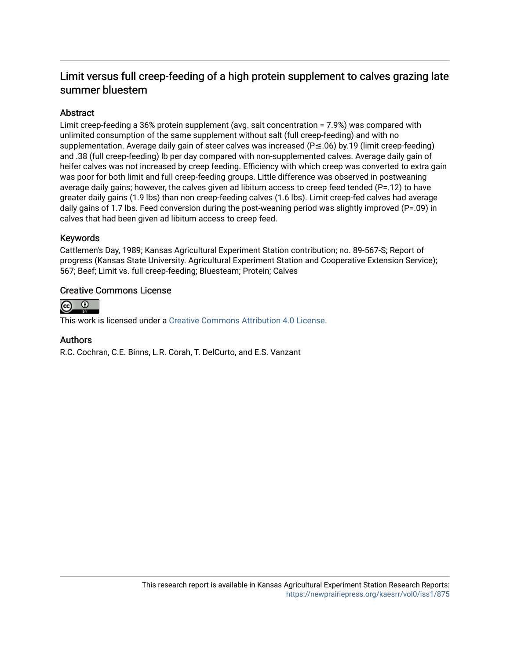# Limit versus full creep-feeding of a high protein supplement to calves grazing late summer bluestem

# Abstract

Limit creep-feeding a 36% protein supplement (avg. salt concentration = 7.9%) was compared with unlimited consumption of the same supplement without salt (full creep-feeding) and with no supplementation. Average daily gain of steer calves was increased (P≤.06) by.19 (limit creep-feeding) and .38 (full creep-feeding) lb per day compared with non-supplemented calves. Average daily gain of heifer calves was not increased by creep feeding. Efficiency with which creep was converted to extra gain was poor for both limit and full creep-feeding groups. Little difference was observed in postweaning average daily gains; however, the calves given ad libitum access to creep feed tended (P=.12) to have greater daily gains (1.9 lbs) than non creep-feeding calves (1.6 lbs). Limit creep-fed calves had average daily gains of 1.7 lbs. Feed conversion during the post-weaning period was slightly improved (P=.09) in calves that had been given ad libitum access to creep feed.

# Keywords

Cattlemen's Day, 1989; Kansas Agricultural Experiment Station contribution; no. 89-567-S; Report of progress (Kansas State University. Agricultural Experiment Station and Cooperative Extension Service); 567; Beef; Limit vs. full creep-feeding; Bluesteam; Protein; Calves

# Creative Commons License



This work is licensed under a [Creative Commons Attribution 4.0 License](https://creativecommons.org/licenses/by/4.0/).

### Authors

R.C. Cochran, C.E. Binns, L.R. Corah, T. DelCurto, and E.S. Vanzant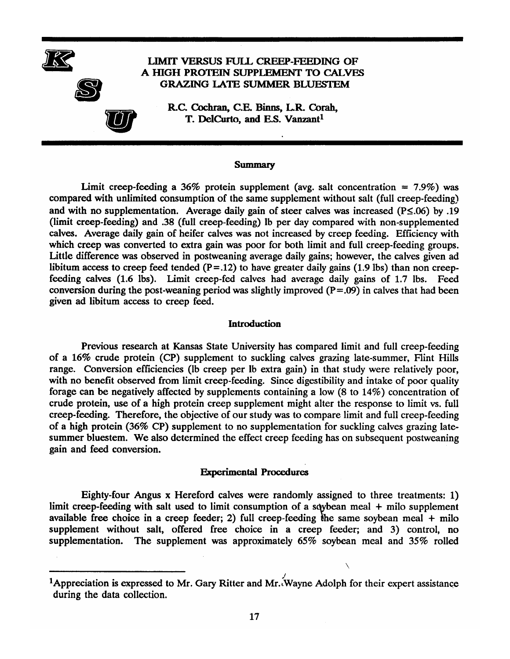

#### **Summary**

Limit creep-feeding a 36% protein supplement (avg. salt concentration =  $7.9\%$ ) was compared with unlimited consumption of the same supplement without salt (full creep-feeding) and with no supplementation. Average daily gain of steer calves was increased ( $P \le 0.06$ ) by .19 (limit creep-feeding) and .38 (full creep-feeding) lb per day compared with non-supplemented calves. Average daily gain of heifer calves was not increased by creep feeding. Efficiency with which creep was converted to extra gain was poor for both limit and full creep-feeding groups. Little difference was observed in postweaning average daily gains; however, the calves given ad libitum access to creep feed tended  $(P=.12)$  to have greater daily gains (1.9 lbs) than non creepfeeding calves (1.6 lbs). Limit creep-fed calves had average daily gains of 1.7 lbs. Feed conversion during the post-weaning period was slightly improved  $(P=.09)$  in calves that had been given ad libitum access to creep feed.

#### **Introduction**

Previous research at Kansas State University has compared limit and full creep-feeding of a 16% crude protein (CP) supplement to suckling calves grazing late-summer, Flint Hills range. Conversion efficiencies (lb creep per lb extra gain) in that study were relatively poor, with no benefit observed from limit creep-feeding. Since digestibility and intake of poor quality forage can be negatively affected by supplements containing a low  $(8 \text{ to } 14\%)$  concentration of crude protein, use of a high protein creep supplement might alter the response to limit vs. full creep-feeding. Therefore, the objective of our study was to compare limit and full creep-feeding of a high protein (36% CP) supplement to no supplementation for suckling calves grazing latesummer bluestem. We also determined the effect creep feeding has on subsequent postweaning gain and feed conversion.

#### **Experimental Procedures**

Eighty-four Angus x Hereford calves were randomly assigned to three treatments: 1) limit creep-feeding with salt used to limit consumption of a sqybean meal  $+$  milo supplement available free choice in a creep feeder; 2) full creep-feeding the same soybean meal  $+$  milo supplement without salt, offered free choice in a creep feeder; and 3) control, no supplementation. The supplement was approximately 65% soybean meal and 35% rolled

<sup>&</sup>lt;sup>1</sup>Appreciation is expressed to Mr. Gary Ritter and Mr. Wayne Adolph for their expert assistance during the data collection.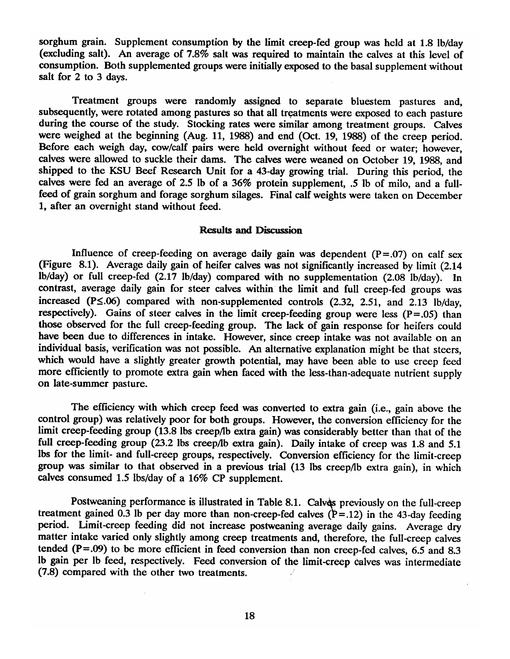sorghum grain. Supplement consumption by the limit creep-fed group was held at 1.8 lb/day (excluding salt). An average of 7.8% salt was required to maintain the calves at this level of consumption. Both supplemented groups were initially exposed to the basal supplement without salt for 2 to 3 days.

Treatment groups were randomly assigned to separate bluestem pastures and, subsequently, were rotated among pastures so that all treatments were exposed to each pasture during the course of the study. Stocking rates were similar among treatment groups. Calves were weighed at the beginning (Aug. 11, 1988) and end (Oct. 19, 1988) of the creep period. Before each weigh day, cow/calf pairs were held overnight without feed or water; however, calves were allowed to suckle their dams. The calves were weaned on October 19, 1988, and shipped to the KSU Beef Research Unit for a 43-day growing trial. During this period, the calves were fed an average of 2.5 lb of a 36% protein supplement, .5 lb of milo, and a fullfeed of grain sorghum and forage sorghum silages. Final calf weights were taken on December 1. after an overnight stand without feed.

## **Results and Discussion**

Influence of creep-feeding on average daily gain was dependent  $(P=.07)$  on calf sex (Figure 8.1). Average daily gain of heifer calves was not significantly increased by limit (2.14) lb/day) or full creep-fed (2.17 lb/day) compared with no supplementation (2.08 lb/day). In contrast, average daily gain for steer calves within the limit and full creep-fed groups was increased (P $\leq$ .06) compared with non-supplemented controls (2.32, 2.51, and 2.13 lb/day, respectively). Gains of steer calves in the limit creep-feeding group were less  $(P=.05)$  than those observed for the full creep-feeding group. The lack of gain response for heifers could have been due to differences in intake. However, since creep intake was not available on an individual basis, verification was not possible. An alternative explanation might be that steers. which would have a slightly greater growth potential, may have been able to use creep feed more efficiently to promote extra gain when faced with the less-than-adequate nutrient supply on late-summer pasture.

The efficiency with which creep feed was converted to extra gain (i.e., gain above the control group) was relatively poor for both groups. However, the conversion efficiency for the limit creep-feeding group (13.8 lbs creep/lb extra gain) was considerably better than that of the full creep-feeding group (23.2 lbs creep/lb extra gain). Daily intake of creep was 1.8 and 5.1 lbs for the limit- and full-creep groups, respectively. Conversion efficiency for the limit-creep group was similar to that observed in a previous trial (13 lbs creep/lb extra gain), in which calves consumed 1.5 lbs/day of a 16% CP supplement.

Postweaning performance is illustrated in Table 8.1. Calves previously on the full-creep treatment gained 0.3 lb per day more than non-creep-fed calves  $(P=.12)$  in the 43-day feeding period. Limit-creep feeding did not increase postweaning average daily gains. Average dry matter intake varied only slightly among creep treatments and, therefore, the full-creep calves tended ( $P = .09$ ) to be more efficient in feed conversion than non creep-fed calves, 6.5 and 8.3 Ib gain per Ib feed, respectively. Feed conversion of the limit-creep calves was intermediate (7.8) compared with the other two treatments.